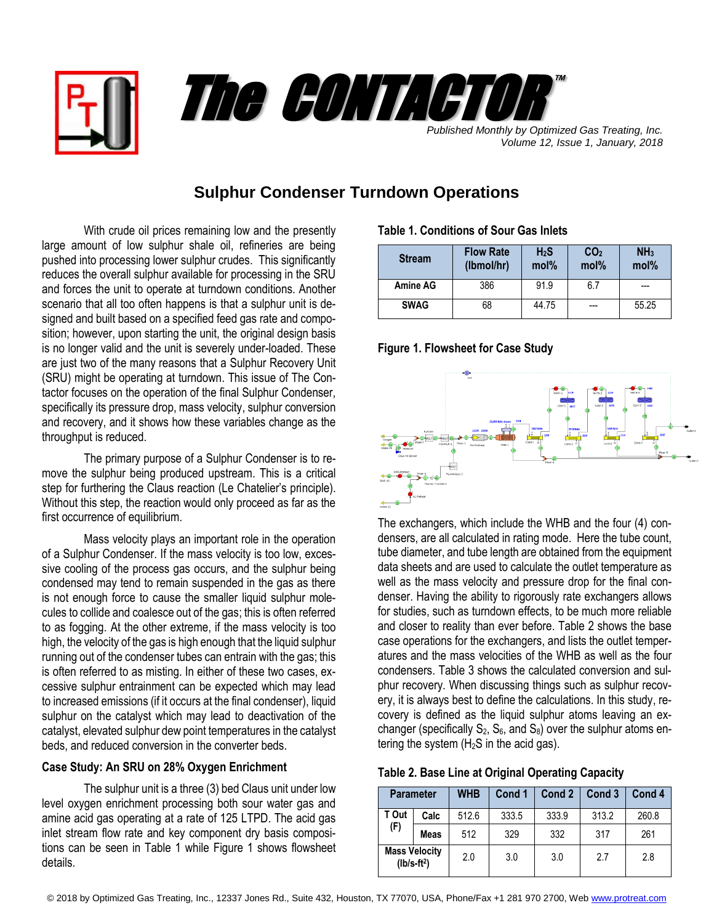



*Published Monthly by Optimized Gas Treating, Inc. Volume 12, Issue 1, January, 2018*

# **Sulphur Condenser Turndown Operations**

With crude oil prices remaining low and the presently large amount of low sulphur shale oil, refineries are being pushed into processing lower sulphur crudes. This significantly reduces the overall sulphur available for processing in the SRU and forces the unit to operate at turndown conditions. Another scenario that all too often happens is that a sulphur unit is designed and built based on a specified feed gas rate and composition; however, upon starting the unit, the original design basis is no longer valid and the unit is severely under-loaded. These are just two of the many reasons that a Sulphur Recovery Unit (SRU) might be operating at turndown. This issue of The Contactor focuses on the operation of the final Sulphur Condenser, specifically its pressure drop, mass velocity, sulphur conversion and recovery, and it shows how these variables change as the throughput is reduced.

The primary purpose of a Sulphur Condenser is to remove the sulphur being produced upstream. This is a critical step for furthering the Claus reaction (Le Chatelier's principle). Without this step, the reaction would only proceed as far as the first occurrence of equilibrium.

Mass velocity plays an important role in the operation of a Sulphur Condenser. If the mass velocity is too low, excessive cooling of the process gas occurs, and the sulphur being condensed may tend to remain suspended in the gas as there is not enough force to cause the smaller liquid sulphur molecules to collide and coalesce out of the gas; this is often referred to as fogging. At the other extreme, if the mass velocity is too high, the velocity of the gas is high enough that the liquid sulphur running out of the condenser tubes can entrain with the gas; this is often referred to as misting. In either of these two cases, excessive sulphur entrainment can be expected which may lead to increased emissions (if it occurs at the final condenser), liquid sulphur on the catalyst which may lead to deactivation of the catalyst, elevated sulphur dew point temperatures in the catalyst beds, and reduced conversion in the converter beds.

## **Case Study: An SRU on 28% Oxygen Enrichment**

The sulphur unit is a three (3) bed Claus unit under low level oxygen enrichment processing both sour water gas and amine acid gas operating at a rate of 125 LTPD. The acid gas inlet stream flow rate and key component dry basis compositions can be seen in Table 1 while Figure 1 shows flowsheet details.

#### **Table 1. Conditions of Sour Gas Inlets**

| <b>Stream</b>   | <b>Flow Rate</b><br>(Ibmol/hr) | H <sub>2</sub> S<br>mol <sub>%</sub> | CO <sub>2</sub><br>mol% | NH <sub>3</sub><br>mol% |
|-----------------|--------------------------------|--------------------------------------|-------------------------|-------------------------|
| <b>Amine AG</b> | 386                            | 91.9                                 | 6.7                     |                         |
| <b>SWAG</b>     | 68                             | 44.75                                |                         | 55.25                   |

#### **Figure 1. Flowsheet for Case Study**



The exchangers, which include the WHB and the four (4) condensers, are all calculated in rating mode. Here the tube count, tube diameter, and tube length are obtained from the equipment data sheets and are used to calculate the outlet temperature as well as the mass velocity and pressure drop for the final condenser. Having the ability to rigorously rate exchangers allows for studies, such as turndown effects, to be much more reliable and closer to reality than ever before. Table 2 shows the base case operations for the exchangers, and lists the outlet temperatures and the mass velocities of the WHB as well as the four condensers. Table 3 shows the calculated conversion and sulphur recovery. When discussing things such as sulphur recovery, it is always best to define the calculations. In this study, recovery is defined as the liquid sulphur atoms leaving an exchanger (specifically  $S_2$ ,  $S_6$ , and  $S_8$ ) over the sulphur atoms entering the system  $(H<sub>2</sub>S$  in the acid gas).

|                      | <b>Parameter</b> | <b>WHB</b> | Cond 1 | Cond 2 | Cond <sub>3</sub> | Cond 4 |
|----------------------|------------------|------------|--------|--------|-------------------|--------|
| T Out                | Calc             | 512.6      | 333.5  | 333.9  | 313.2             | 260.8  |
| (F)                  | Meas             | 512        | 329    | 332    | 317               | 261    |
| <b>Mass Velocity</b> | $(lb/s-ft2)$     | 2.0        | 3.0    | 3.0    | 2.7               | 2.8    |